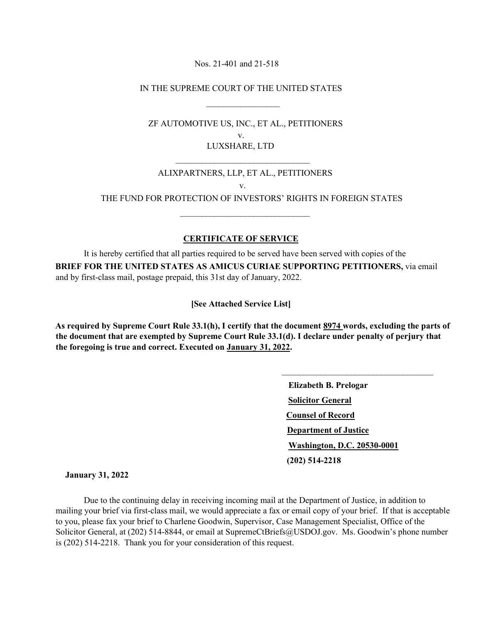Nos. 21-401 and 21-518

IN THE SUPREME COURT OF THE UNITED STATES

 $\frac{1}{\sqrt{2}}$  , and the contract of the contract of the contract of the contract of the contract of the contract of the contract of the contract of the contract of the contract of the contract of the contract of the contra

 $\frac{1}{2}$  , and the set of the set of the set of the set of the set of the set of the set of the set of the set of the set of the set of the set of the set of the set of the set of the set of the set of the set of the set

 $\mathcal{L}_\text{max}$  and  $\mathcal{L}_\text{max}$  and  $\mathcal{L}_\text{max}$  and  $\mathcal{L}_\text{max}$  and  $\mathcal{L}_\text{max}$ 

 ZF AUTOMOTIVE US, INC., ET AL., PETITIONERS v. LUXSHARE, LTD

## ALIXPARTNERS, LLP, ET AL., PETITIONERS v.

THE FUND FOR PROTECTION OF INVESTORS' RIGHTS IN FOREIGN STATES

## **CERTIFICATE OF SERVICE**

 It is hereby certified that all parties required to be served have been served with copies of the **BRIEF FOR THE UNITED STATES AS AMICUS CURIAE SUPPORTING PETITIONERS,** via email and by first-class mail, postage prepaid, this 31st day of January, 2022.

**[See Attached Service List]** 

**As required by Supreme Court Rule 33.1(h), I certify that the document 8974 words, excluding the parts of the document that are exempted by Supreme Court Rule 33.1(d). I declare under penalty of perjury that the foregoing is true and correct. Executed on January 31, 2022.** 

> **Elizabeth B. Prelogar Solicitor General Counsel of Record Department of Justice Washington, D.C. 20530-0001 (202) 514-2218**

\_\_\_\_\_\_\_\_\_\_\_\_\_\_\_\_\_\_\_\_\_\_\_\_\_\_\_\_\_\_\_\_\_\_\_

 **January 31, 2022** 

 Due to the continuing delay in receiving incoming mail at the Department of Justice, in addition to mailing your brief via first-class mail, we would appreciate a fax or email copy of your brief. If that is acceptable to you, please fax your brief to Charlene Goodwin, Supervisor, Case Management Specialist, Office of the Solicitor General, at (202) 514-8844, or email at SupremeCtBriefs@USDOJ.gov. Ms. Goodwin's phone number is (202) 514-2218. Thank you for your consideration of this request.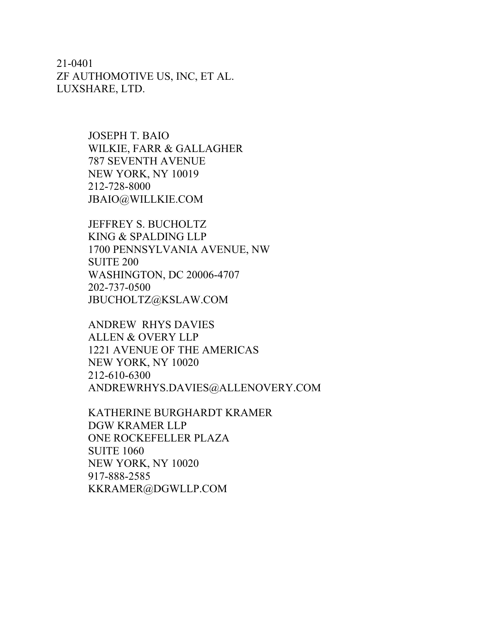21-0401 ZF AUTHOMOTIVE US, INC, ET AL. LUXSHARE, LTD.

> JOSEPH T. BAIO WILKIE, FARR & GALLAGHER 787 SEVENTH AVENUE NEW YORK, NY 10019 212-728-8000 JBAIO@WILLKIE.COM

JEFFREY S. BUCHOLTZ KING & SPALDING LLP 1700 PENNSYLVANIA AVENUE, NW SUITE 200 WASHINGTON, DC 20006-4707 202-737-0500 JBUCHOLTZ@KSLAW.COM

ANDREW RHYS DAVIES ALLEN & OVERY LLP 1221 AVENUE OF THE AMERICAS NEW YORK, NY 10020 212-610-6300 ANDREWRHYS.DAVIES@ALLENOVERY.COM

KATHERINE BURGHARDT KRAMER DGW KRAMER LLP ONE ROCKEFELLER PLAZA SUITE 1060 NEW YORK, NY 10020 917-888-2585 KKRAMER@DGWLLP.COM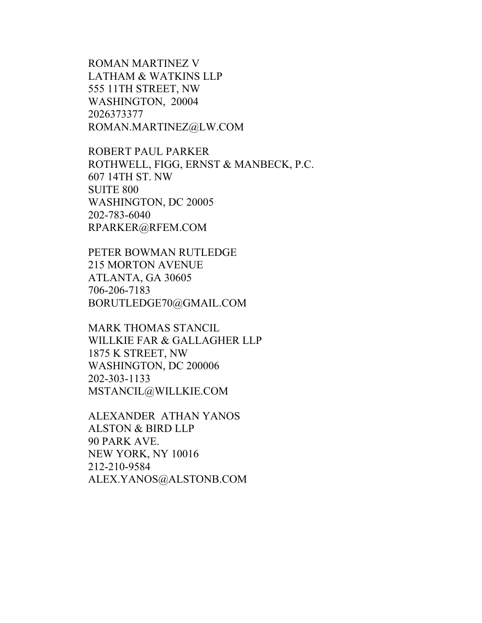ROMAN MARTINEZ V LATHAM & WATKINS LLP 555 11TH STREET, NW WASHINGTON, 20004 2026373377 ROMAN.MARTINEZ@LW.COM

ROBERT PAUL PARKER ROTHWELL, FIGG, ERNST & MANBECK, P.C. 607 14TH ST. NW SUITE 800 WASHINGTON, DC 20005 202-783-6040 RPARKER@RFEM.COM

PETER BOWMAN RUTLEDGE 215 MORTON AVENUE ATLANTA, GA 30605 706-206-7183 BORUTLEDGE70@GMAIL.COM

MARK THOMAS STANCIL WILLKIE FAR & GALLAGHER LLP 1875 K STREET, NW WASHINGTON, DC 200006 202-303-1133 MSTANCIL@WILLKIE.COM

ALEXANDER ATHAN YANOS ALSTON & BIRD LLP 90 PARK AVE. NEW YORK, NY 10016 212-210-9584 ALEX.YANOS@ALSTONB.COM